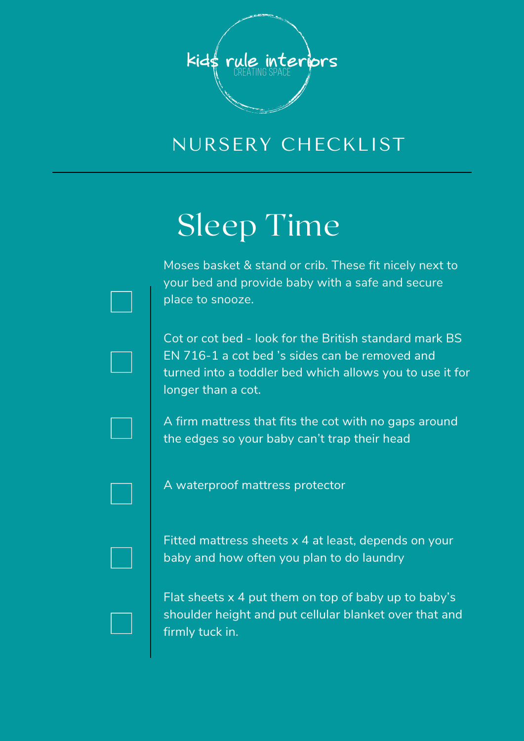

# Sleep Time

Moses basket & stand or crib. These fit nicely next to your bed and provide baby with a safe and secure place to snooze.

Cot or cot bed - look for the British standard mark BS EN 716-1 a cot bed 's sides can be removed and turned into a toddler bed which allows you to use it for longer than a cot.

A firm mattress that fits the cot with no gaps around the edges so your baby can't trap their head

A waterproof mattress protector

Fitted mattress sheets x 4 at least, depends on your baby and how often you plan to do laundry

Flat sheets  $x$  4 put them on top of baby up to baby's shoulder height and put cellular blanket over that and firmly tuck in.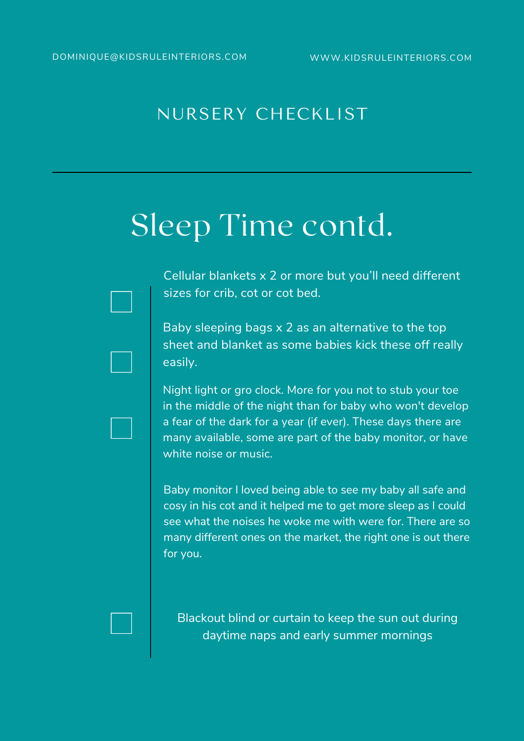## Sleep Time contd.

Cellular blankets x 2 or more but you'll need different sizes for crib, cot or cot bed.

Baby sleeping bags x 2 as an alternative to the top sheet and blanket as some babies kick these off really easily.

Night light or gro clock. More for you not to stub your toe in the middle of the night than for baby who won't develop a fear of the dark for a year (if ever). These days there are many available, some are part of the baby monitor, or have white noise or music.

Baby monitor I loved being able to see my baby all safe and cosy in his cot and it helped me to get more sleep as I could see what the noises he woke me with were for. There are so many different ones on the market, the right one is out there for you.

Blackout blind or curtain to keep the sun out during daytime naps and early summer mornings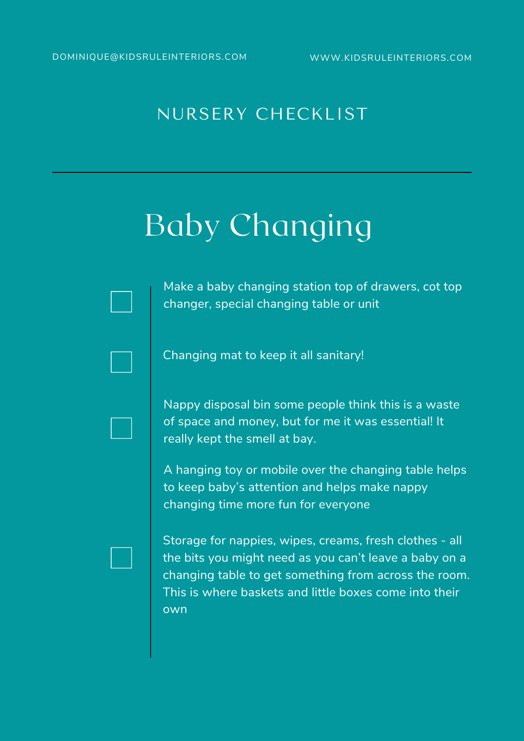# Baby Changing

Make a baby changing station top of drawers, cot top changer, special changing table or unit

Changing mat to keep it all sanitary!

Nappy disposal bin some people think this is a waste of space and money, but for me it was essential! It really kept the smell at bay.

A hanging toy or mobile over the changing table helps to keep baby's attention and helps make nappy changing time more fun for everyone

Storage for nappies, wipes, creams, fresh clothes - all the bits you might need as you can't leave a baby on a changing table to get something from across the room. This is where baskets and little boxes come into their own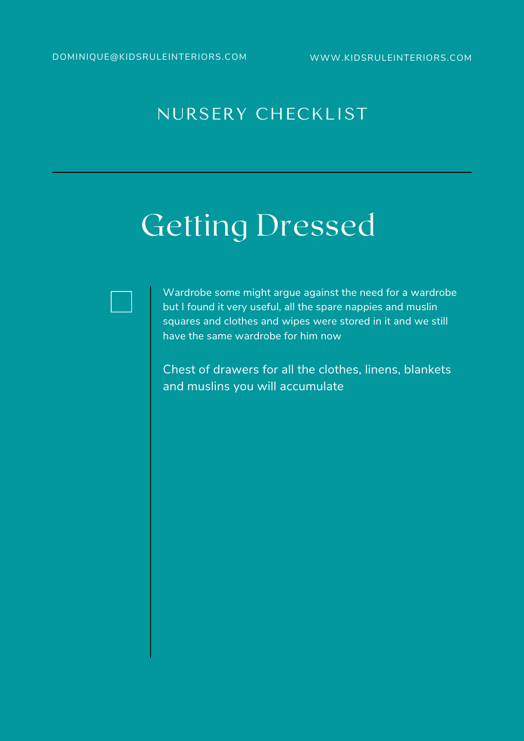## Getting Dressed

Wardrobe some might argue against the need for a wardrobe but I found it very useful, all the spare nappies and muslin squares and clothes and wipes were stored in it and we still have the same wardrobe for him now

Chest of drawers for all the clothes, linens, blankets and muslins you will accumulate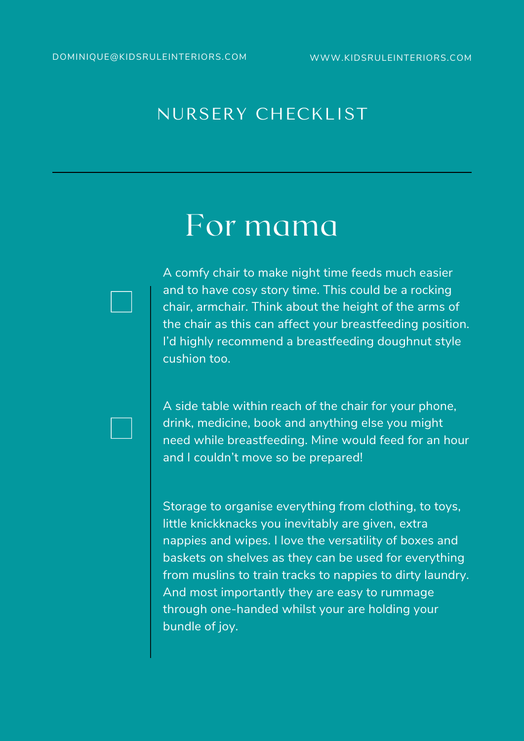### For mama

A comfy chair to make night time feeds much easier and to have cosy story time. This could be a rocking chair, armchair. Think about the height of the arms of the chair as this can affect your breastfeeding position. I'd highly recommend a breastfeeding doughnut style cushion too.

A side table within reach of the chair for your phone, drink, medicine, book and anything else you might need while breastfeeding. Mine would feed for an hour and I couldn't move so be prepared!

Storage to organise everything from clothing, to toys, little knickknacks you inevitably are given, extra nappies and wipes. I love the versatility of boxes and baskets on shelves as they can be used for everything from muslins to train tracks to nappies to dirty laundry. And most importantly they are easy to rummage through one-handed whilst your are holding your bundle of joy.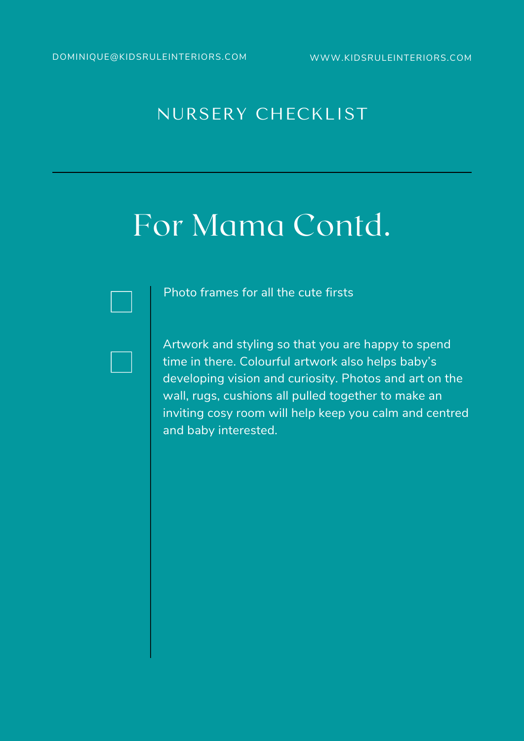### For Mama Contd.

Photo frames for all the cute firsts

Artwork and styling so that you are happy to spend time in there. Colourful artwork also helps baby's developing vision and curiosity. Photos and art on the wall, rugs, cushions all pulled together to make an inviting cosy room will help keep you calm and centred and baby interested.